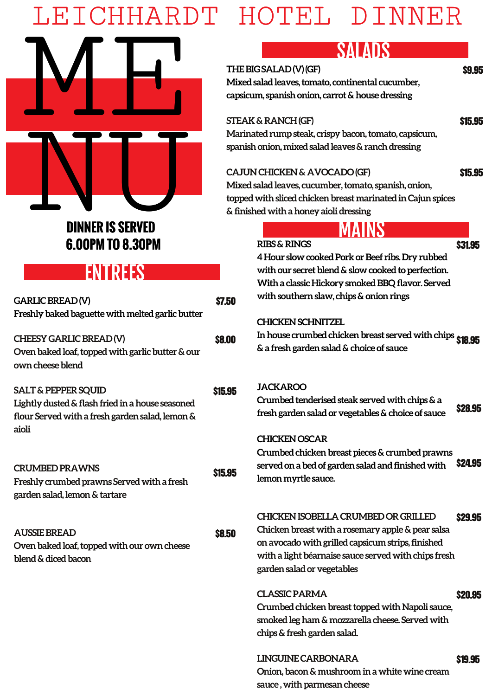# LEICHHARDT HOTEL DINNER



## **6.00PM TO 8.30PM**

### **ENTREES**

| <b>GARLIC BREAD(V)</b><br>Freshly baked baguette with melted garlic butter                                                                     | \$7.50  |  |
|------------------------------------------------------------------------------------------------------------------------------------------------|---------|--|
| CHEESY GARLIC BREAD(V)<br>Oven baked loaf, topped with garlic butter & our<br>own cheese blend                                                 | \$8.00  |  |
| <b>SALT &amp; PEPPER SQUID</b><br>Lightly dusted & flash fried in a house seasoned<br>flour Served with a fresh garden salad, lemon &<br>aioli | \$15.95 |  |
| <b>CRUMBED PRAWNS</b><br>Freshly crumbed prawns Served with a fresh<br>garden salad, lemon & tartare                                           | \$15.95 |  |
| <b>AUSSIE BREAD</b><br>Oven baked loaf, topped with our own cheese<br>blend & diced bacon                                                      | \$8.50  |  |
|                                                                                                                                                |         |  |

## SALADS

\$9.95

**THE BIG SALAD (V) (GF) Mixed salad leaves, tomato, continental cucumber, capsicum, spanish onion, carrot & house dressing** 

#### **STEAK & RANCH (GF)**

\$15.95

**Marinated rump steak, crispy bacon, tomato, capsicum, spanish onion, mixed salad leaves & ranch dressing** 

#### **CAJUN CHICKEN & AVOCADO (GF)**

\$15.95

**Mixed salad leaves, cucumber, tomato, spanish, onion, topped with sliced chicken breast marinated in Cajun spices & finished with a honey aioli dressing**

|    | <b>RIBS &amp; RINGS</b>                                   | \$31.95        |
|----|-----------------------------------------------------------|----------------|
|    | 4 Hour slow cooked Pork or Beef ribs. Dry rubbed          |                |
|    | with our secret blend & slow cooked to perfection.        |                |
|    | With a classic Hickory smoked BBQ flavor. Served          |                |
| 50 | with southern slaw, chips & onion rings                   |                |
|    | <b>CHICKEN SCHNITZEL</b>                                  |                |
| 10 | In house crumbed chicken breast served with chips \$18.95 |                |
|    | & a fresh garden salad & choice of sauce                  |                |
|    |                                                           |                |
| 95 | <b>JACKAROO</b>                                           |                |
|    | Crumbed tenderised steak served with chips & a            |                |
|    | fresh garden salad or vegetables & choice of sauce        | \$28.95        |
|    | <b>CHICKEN OSCAR</b>                                      |                |
|    | Crumbed chicken breast pieces & crumbed prawns            |                |
|    | served on a bed of garden salad and finished with         | <b>\$24.95</b> |
| 95 | lemon myrtle sauce.                                       |                |
|    |                                                           |                |
|    | <b>CHICKEN ISOBELLA CRUMBED OR GRILLED</b>                |                |
|    | Chicken breast with a rosemary apple & pear salsa         | \$29.95        |
| 50 | on avocado with grilled capsicum strips, finished         |                |
|    | with a light béarnaise sauce served with chips fresh      |                |
|    | garden salad or vegetables                                |                |
|    | <b>CLASSIC PARMA</b>                                      | <b>S20.95</b>  |
|    |                                                           |                |

**Crumbed chicken breast topped with Napoli sauce, smoked leg ham & mozzarella cheese. Served with chips & fresh garden salad.** 

**LINGUINE CARBONARA Onion, bacon & mushroom in a white wine cream sauce , with parmesan cheese** \$19.95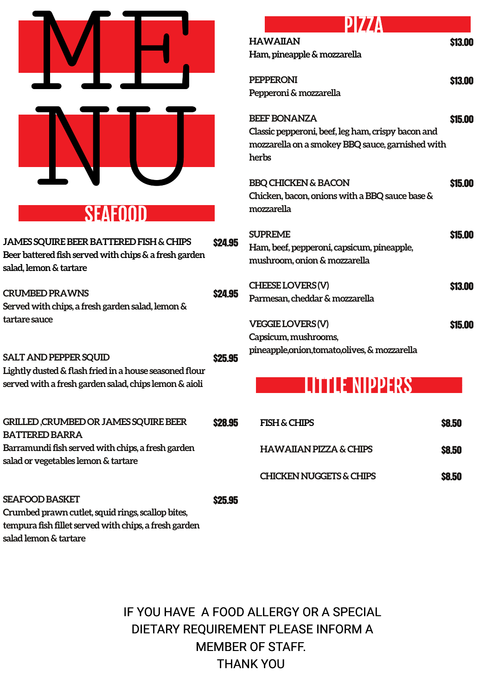|                                                                                                                                                                      | <b>HAWA</b><br>Ham, pi<br><b>PEPPER</b><br>Peppero |
|----------------------------------------------------------------------------------------------------------------------------------------------------------------------|----------------------------------------------------|
|                                                                                                                                                                      | <b>BEEF BO</b><br>Classic p<br>mozzar<br>herbs     |
| <b>SEAFOOD</b>                                                                                                                                                       | <b>BBQ CH</b><br>Chicker<br>mozzar                 |
| <b>JAMES SQUIRE BEER BATTERED FISH &amp; CHIPS</b><br>\$24.95<br>Beer battered fish served with chips & a fresh garden<br>salad, lemon & tartare                     | <b>SUPREI</b><br>Ham, be<br>mushro                 |
| <b>CRUMBED PRAWNS</b><br>\$24.95<br>Served with chips, a fresh garden salad, lemon &                                                                                 | <b>CHEESE</b><br>Parmes                            |
| tartare sauce<br>SALT AND PEPPER SQUID<br>\$25.95<br>Lightly dusted & flash fried in a house seasoned flour<br>served with a fresh garden salad, chips lemon & aioli | <b>VEGGIE</b><br>Capsicu<br>pineapp                |
| <b>GRILLED, CRUMBED OR JAMES SQUIRE BEER</b><br>\$28.95<br><b>BATTERED BARRA</b>                                                                                     | <b>FISH</b>                                        |
| Barramundi fish served with chips, a fresh garden<br>salad or vegetables lemon & tartare                                                                             | <b>HAV</b>                                         |
|                                                                                                                                                                      | <b>CHIO</b>                                        |
| <b>SEAFOOD BASKET</b><br><b>\$25.95</b><br>Crumbed prawn cutlet, squid rings, scallop bites,<br>tempura fish fillet served with chips, a fresh garden                |                                                    |

**salad lemon & tartare** 

## DI 7

| <b>HAWAIIAN</b>                                    | \$13.00 |
|----------------------------------------------------|---------|
| Ham, pineapple & mozzarella                        |         |
| <b>PEPPERONI</b>                                   | \$13.00 |
| Pepperoni & mozzarella                             |         |
| <b>BEEF BONANZA</b>                                | \$15.00 |
| Classic pepperoni, beef, leg ham, crispy bacon and |         |
| mozzarella on a smokey BBQ sauce, garnished with   |         |
| herbs                                              |         |
|                                                    |         |
| <b>BBQ CHICKEN &amp; BACON</b>                     | \$15.00 |
| Chicken, bacon, onions with a BBQ sauce base &     |         |
| mozzarella                                         |         |
| <b>SUPREME</b>                                     | \$15.00 |
| Ham, beef, pepperoni, capsicum, pineapple,         |         |
| mushroom, onion & mozzarella                       |         |
|                                                    |         |
| CHEESE LOVERS (V)                                  | \$13.00 |
| Parmesan, cheddar & mozzarella                     |         |
|                                                    |         |
| <b>VEGGIE LOVERS(V)</b>                            | \$15.00 |
| Capsicum, mushrooms,                               |         |
| pineapple, onion, tomato, olives, & mozzarella     |         |
|                                                    |         |

## **LITTLE NIPPERS**

| <b>FISH &amp; CHIPS</b>           | \$8.50       |
|-----------------------------------|--------------|
| <b>HAWAIIAN PIZZA &amp; CHIPS</b> | <b>S8.50</b> |
| CHICKEN NUGGETS & CHIPS           | \$8.50       |

IF YOU HAVE A FOOD ALLERGY OR A SPECIAL DIETARY REQUIREMENT PLEASE INFORM A MEMBER OF STAFF. THANK YOU